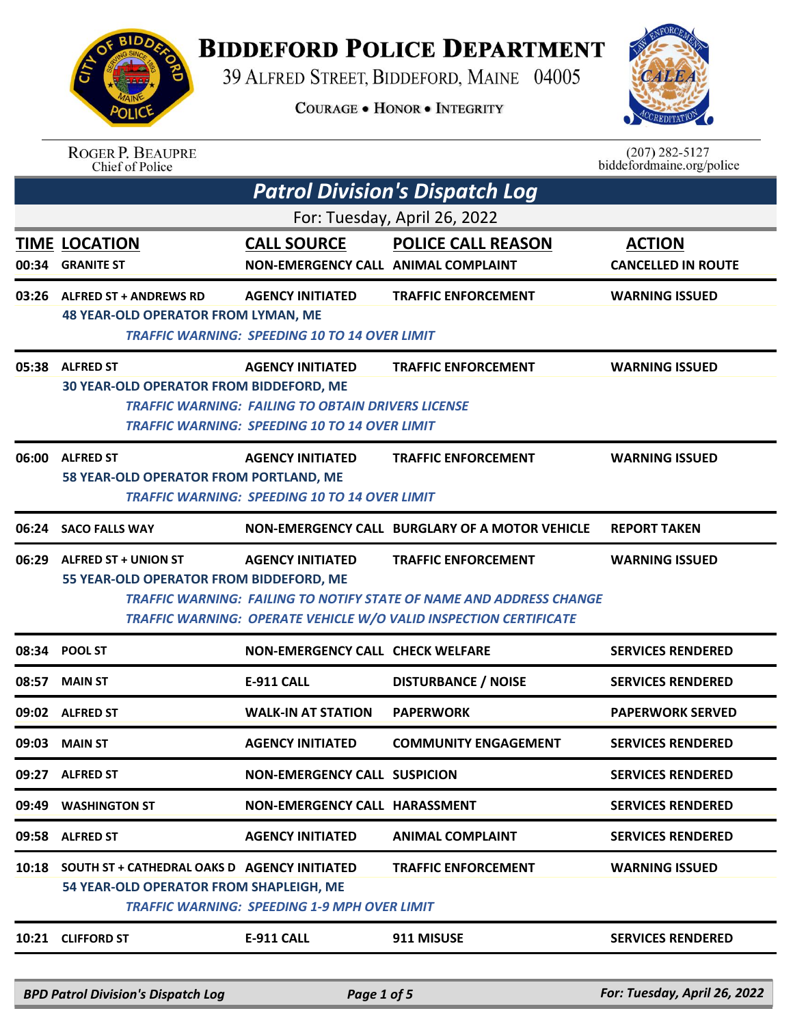

## **BIDDEFORD POLICE DEPARTMENT**

39 ALFRED STREET, BIDDEFORD, MAINE 04005

**COURAGE . HONOR . INTEGRITY** 



| <b>ROGER P. BEAUPRE</b> |
|-------------------------|
| Chief of Police         |

 $(207)$  282-5127<br>biddefordmaine.org/police

| <b>Patrol Division's Dispatch Log</b> |                                                                                               |                                                                                                                                              |                                                                                                          |                                            |  |
|---------------------------------------|-----------------------------------------------------------------------------------------------|----------------------------------------------------------------------------------------------------------------------------------------------|----------------------------------------------------------------------------------------------------------|--------------------------------------------|--|
| For: Tuesday, April 26, 2022          |                                                                                               |                                                                                                                                              |                                                                                                          |                                            |  |
|                                       | <b>TIME LOCATION</b><br>00:34 GRANITE ST                                                      | <b>CALL SOURCE</b><br>NON-EMERGENCY CALL ANIMAL COMPLAINT                                                                                    | <b>POLICE CALL REASON</b>                                                                                | <b>ACTION</b><br><b>CANCELLED IN ROUTE</b> |  |
| 03:26                                 | <b>ALFRED ST + ANDREWS RD</b><br><b>48 YEAR-OLD OPERATOR FROM LYMAN, ME</b>                   | <b>AGENCY INITIATED</b><br><b>TRAFFIC WARNING: SPEEDING 10 TO 14 OVER LIMIT</b>                                                              | <b>TRAFFIC ENFORCEMENT</b>                                                                               | <b>WARNING ISSUED</b>                      |  |
|                                       | 05:38 ALFRED ST<br><b>30 YEAR-OLD OPERATOR FROM BIDDEFORD, ME</b>                             | <b>AGENCY INITIATED</b><br><b>TRAFFIC WARNING: FAILING TO OBTAIN DRIVERS LICENSE</b><br><b>TRAFFIC WARNING: SPEEDING 10 TO 14 OVER LIMIT</b> | <b>TRAFFIC ENFORCEMENT</b>                                                                               | <b>WARNING ISSUED</b>                      |  |
|                                       | 06:00 ALFRED ST<br>58 YEAR-OLD OPERATOR FROM PORTLAND, ME                                     | <b>AGENCY INITIATED</b><br><b>TRAFFIC WARNING: SPEEDING 10 TO 14 OVER LIMIT</b>                                                              | <b>TRAFFIC ENFORCEMENT</b>                                                                               | <b>WARNING ISSUED</b>                      |  |
|                                       | 06:24 SACO FALLS WAY                                                                          |                                                                                                                                              | NON-EMERGENCY CALL BURGLARY OF A MOTOR VEHICLE                                                           | <b>REPORT TAKEN</b>                        |  |
| 06:29                                 | <b>ALFRED ST + UNION ST</b><br>55 YEAR-OLD OPERATOR FROM BIDDEFORD, ME                        | <b>AGENCY INITIATED</b>                                                                                                                      | <b>TRAFFIC ENFORCEMENT</b><br><b>TRAFFIC WARNING: FAILING TO NOTIFY STATE OF NAME AND ADDRESS CHANGE</b> | <b>WARNING ISSUED</b>                      |  |
|                                       |                                                                                               |                                                                                                                                              | TRAFFIC WARNING: OPERATE VEHICLE W/O VALID INSPECTION CERTIFICATE                                        |                                            |  |
|                                       | 08:34 POOL ST                                                                                 | NON-EMERGENCY CALL CHECK WELFARE                                                                                                             |                                                                                                          | <b>SERVICES RENDERED</b>                   |  |
| 08:57                                 | <b>MAIN ST</b>                                                                                | <b>E-911 CALL</b>                                                                                                                            | <b>DISTURBANCE / NOISE</b>                                                                               | <b>SERVICES RENDERED</b>                   |  |
|                                       | 09:02 ALFRED ST                                                                               | <b>WALK-IN AT STATION</b>                                                                                                                    | <b>PAPERWORK</b>                                                                                         | <b>PAPERWORK SERVED</b>                    |  |
| 09:03                                 | <b>MAIN ST</b>                                                                                | <b>AGENCY INITIATED</b>                                                                                                                      | <b>COMMUNITY ENGAGEMENT</b>                                                                              | <b>SERVICES RENDERED</b>                   |  |
|                                       | 09:27 ALFRED ST                                                                               | <b>NON-EMERGENCY CALL SUSPICION</b>                                                                                                          |                                                                                                          | <b>SERVICES RENDERED</b>                   |  |
| 09:49                                 | <b>WASHINGTON ST</b>                                                                          | NON-EMERGENCY CALL HARASSMENT                                                                                                                |                                                                                                          | <b>SERVICES RENDERED</b>                   |  |
|                                       | 09:58 ALFRED ST                                                                               | <b>AGENCY INITIATED</b>                                                                                                                      | <b>ANIMAL COMPLAINT</b>                                                                                  | <b>SERVICES RENDERED</b>                   |  |
|                                       | 10:18 SOUTH ST + CATHEDRAL OAKS D AGENCY INITIATED<br>54 YEAR-OLD OPERATOR FROM SHAPLEIGH, ME | <b>TRAFFIC WARNING: SPEEDING 1-9 MPH OVER LIMIT</b>                                                                                          | <b>TRAFFIC ENFORCEMENT</b>                                                                               | <b>WARNING ISSUED</b>                      |  |
|                                       | 10:21 CLIFFORD ST                                                                             | <b>E-911 CALL</b>                                                                                                                            | 911 MISUSE                                                                                               | <b>SERVICES RENDERED</b>                   |  |

*BPD Patrol Division's Dispatch Log Page 1 of 5 For: Tuesday, April 26, 2022*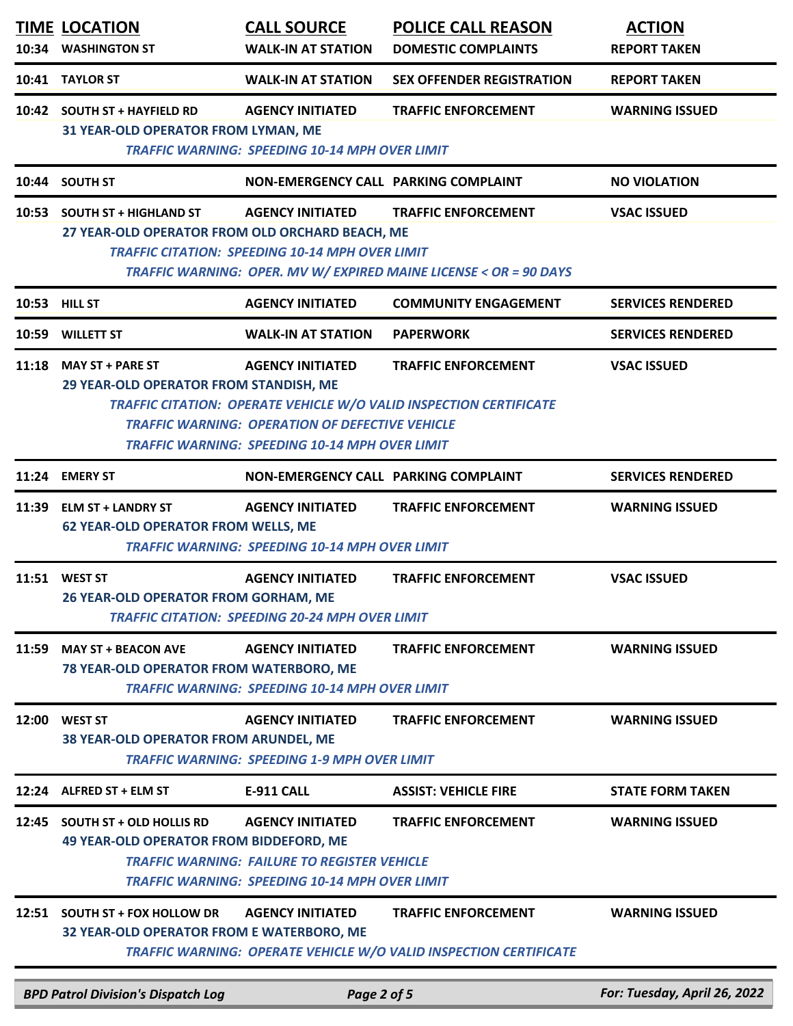| 10:34 | <b>TIME LOCATION</b><br><b>WASHINGTON ST</b>                                      | <b>CALL SOURCE</b><br><b>WALK-IN AT STATION</b>                                                                                         | <b>POLICE CALL REASON</b><br><b>DOMESTIC COMPLAINTS</b>                                          | <b>ACTION</b><br><b>REPORT TAKEN</b> |
|-------|-----------------------------------------------------------------------------------|-----------------------------------------------------------------------------------------------------------------------------------------|--------------------------------------------------------------------------------------------------|--------------------------------------|
| 10:41 | <b>TAYLOR ST</b>                                                                  | <b>WALK-IN AT STATION</b>                                                                                                               | <b>SEX OFFENDER REGISTRATION</b>                                                                 | <b>REPORT TAKEN</b>                  |
| 10:42 | <b>SOUTH ST + HAYFIELD RD</b><br>31 YEAR-OLD OPERATOR FROM LYMAN, ME              | <b>AGENCY INITIATED</b><br><b>TRAFFIC WARNING: SPEEDING 10-14 MPH OVER LIMIT</b>                                                        | <b>TRAFFIC ENFORCEMENT</b>                                                                       | <b>WARNING ISSUED</b>                |
|       | 10:44 SOUTH ST                                                                    | NON-EMERGENCY CALL PARKING COMPLAINT                                                                                                    |                                                                                                  | <b>NO VIOLATION</b>                  |
| 10:53 | <b>SOUTH ST + HIGHLAND ST</b><br>27 YEAR-OLD OPERATOR FROM OLD ORCHARD BEACH, ME  | <b>AGENCY INITIATED</b><br><b>TRAFFIC CITATION: SPEEDING 10-14 MPH OVER LIMIT</b>                                                       | <b>TRAFFIC ENFORCEMENT</b><br>TRAFFIC WARNING: OPER. MV W/ EXPIRED MAINE LICENSE < OR = 90 DAYS  | <b>VSAC ISSUED</b>                   |
|       | 10:53 HILL ST                                                                     | <b>AGENCY INITIATED</b>                                                                                                                 | <b>COMMUNITY ENGAGEMENT</b>                                                                      | <b>SERVICES RENDERED</b>             |
|       | 10:59 WILLETT ST                                                                  | <b>WALK-IN AT STATION</b>                                                                                                               | <b>PAPERWORK</b>                                                                                 | <b>SERVICES RENDERED</b>             |
| 11:18 | <b>MAY ST + PARE ST</b><br>29 YEAR-OLD OPERATOR FROM STANDISH, ME                 | <b>AGENCY INITIATED</b><br><b>TRAFFIC WARNING: OPERATION OF DEFECTIVE VEHICLE</b><br>TRAFFIC WARNING: SPEEDING 10-14 MPH OVER LIMIT     | <b>TRAFFIC ENFORCEMENT</b><br>TRAFFIC CITATION: OPERATE VEHICLE W/O VALID INSPECTION CERTIFICATE | <b>VSAC ISSUED</b>                   |
|       | 11:24 EMERY ST                                                                    | NON-EMERGENCY CALL PARKING COMPLAINT                                                                                                    |                                                                                                  | <b>SERVICES RENDERED</b>             |
| 11:39 | <b>ELM ST + LANDRY ST</b><br><b>62 YEAR-OLD OPERATOR FROM WELLS, ME</b>           | <b>AGENCY INITIATED</b><br><b>TRAFFIC WARNING: SPEEDING 10-14 MPH OVER LIMIT</b>                                                        | <b>TRAFFIC ENFORCEMENT</b>                                                                       | <b>WARNING ISSUED</b>                |
|       | 11:51 WEST ST<br>26 YEAR-OLD OPERATOR FROM GORHAM, ME                             | <b>AGENCY INITIATED</b><br><b>TRAFFIC CITATION: SPEEDING 20-24 MPH OVER LIMIT</b>                                                       | <b>TRAFFIC ENFORCEMENT</b>                                                                       | <b>VSAC ISSUED</b>                   |
| 11:59 | <b>MAY ST + BEACON AVE</b><br>78 YEAR-OLD OPERATOR FROM WATERBORO, ME             | <b>AGENCY INITIATED</b><br><b>TRAFFIC WARNING: SPEEDING 10-14 MPH OVER LIMIT</b>                                                        | <b>TRAFFIC ENFORCEMENT</b>                                                                       | <b>WARNING ISSUED</b>                |
|       | 12:00 WEST ST<br><b>38 YEAR-OLD OPERATOR FROM ARUNDEL, ME</b>                     | <b>AGENCY INITIATED</b><br><b>TRAFFIC WARNING: SPEEDING 1-9 MPH OVER LIMIT</b>                                                          | <b>TRAFFIC ENFORCEMENT</b>                                                                       | <b>WARNING ISSUED</b>                |
|       | 12:24 ALFRED ST + ELM ST                                                          | <b>E-911 CALL</b>                                                                                                                       | <b>ASSIST: VEHICLE FIRE</b>                                                                      | <b>STATE FORM TAKEN</b>              |
| 12:45 | <b>SOUTH ST + OLD HOLLIS RD</b><br><b>49 YEAR-OLD OPERATOR FROM BIDDEFORD, ME</b> | <b>AGENCY INITIATED</b><br><b>TRAFFIC WARNING: FAILURE TO REGISTER VEHICLE</b><br><b>TRAFFIC WARNING: SPEEDING 10-14 MPH OVER LIMIT</b> | <b>TRAFFIC ENFORCEMENT</b>                                                                       | <b>WARNING ISSUED</b>                |
| 12:51 | <b>SOUTH ST + FOX HOLLOW DR</b><br>32 YEAR-OLD OPERATOR FROM E WATERBORO, ME      | <b>AGENCY INITIATED</b>                                                                                                                 | <b>TRAFFIC ENFORCEMENT</b><br>TRAFFIC WARNING: OPERATE VEHICLE W/O VALID INSPECTION CERTIFICATE  | <b>WARNING ISSUED</b>                |
|       | <b>BPD Patrol Division's Dispatch Log</b>                                         | Page 2 of 5                                                                                                                             |                                                                                                  | For: Tuesday, April 26, 2022         |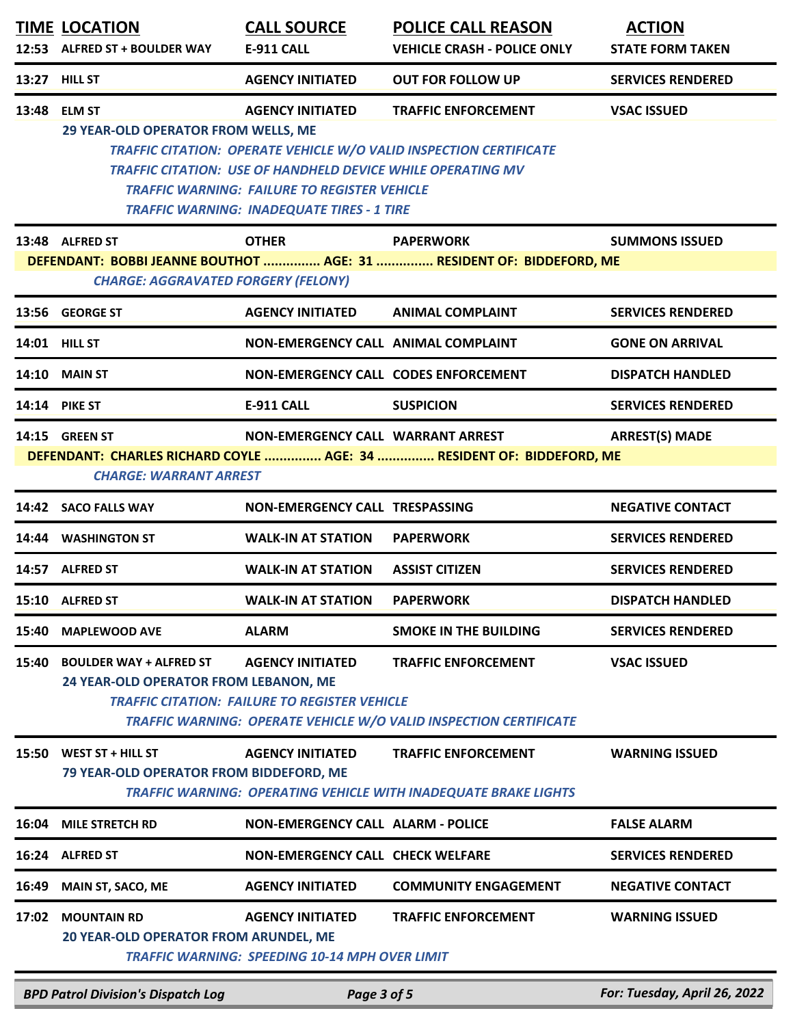|       | <b>TIME LOCATION</b><br>12:53 ALFRED ST + BOULDER WAY                                                                                                                                  | <b>CALL SOURCE</b><br>E-911 CALL                                                                                                                                                                          | <b>POLICE CALL REASON</b><br><b>VEHICLE CRASH - POLICE ONLY</b>                                  | <b>ACTION</b><br><b>STATE FORM TAKEN</b> |  |
|-------|----------------------------------------------------------------------------------------------------------------------------------------------------------------------------------------|-----------------------------------------------------------------------------------------------------------------------------------------------------------------------------------------------------------|--------------------------------------------------------------------------------------------------|------------------------------------------|--|
|       | 13:27 HILL ST                                                                                                                                                                          | <b>AGENCY INITIATED</b>                                                                                                                                                                                   | <b>OUT FOR FOLLOW UP</b>                                                                         | <b>SERVICES RENDERED</b>                 |  |
|       | 13:48 ELM ST<br>29 YEAR-OLD OPERATOR FROM WELLS, ME                                                                                                                                    | <b>AGENCY INITIATED</b><br><b>TRAFFIC CITATION: USE OF HANDHELD DEVICE WHILE OPERATING MV</b><br><b>TRAFFIC WARNING: FAILURE TO REGISTER VEHICLE</b><br><b>TRAFFIC WARNING: INADEQUATE TIRES - 1 TIRE</b> | <b>TRAFFIC ENFORCEMENT</b><br>TRAFFIC CITATION: OPERATE VEHICLE W/O VALID INSPECTION CERTIFICATE | <b>VSAC ISSUED</b>                       |  |
|       | 13:48 ALFRED ST                                                                                                                                                                        | <b>OTHER</b>                                                                                                                                                                                              | <b>PAPERWORK</b>                                                                                 | <b>SUMMONS ISSUED</b>                    |  |
|       | <b>CHARGE: AGGRAVATED FORGERY (FELONY)</b>                                                                                                                                             |                                                                                                                                                                                                           | DEFENDANT: BOBBI JEANNE BOUTHOT  AGE: 31  RESIDENT OF: BIDDEFORD, ME                             |                                          |  |
|       | 13:56 GEORGE ST                                                                                                                                                                        | <b>AGENCY INITIATED</b>                                                                                                                                                                                   | <b>ANIMAL COMPLAINT</b>                                                                          | <b>SERVICES RENDERED</b>                 |  |
|       | 14:01 HILL ST                                                                                                                                                                          | NON-EMERGENCY CALL ANIMAL COMPLAINT                                                                                                                                                                       |                                                                                                  | <b>GONE ON ARRIVAL</b>                   |  |
|       | 14:10 MAIN ST                                                                                                                                                                          | NON-EMERGENCY CALL CODES ENFORCEMENT                                                                                                                                                                      |                                                                                                  | <b>DISPATCH HANDLED</b>                  |  |
|       | <b>14:14 PIKE ST</b>                                                                                                                                                                   | <b>E-911 CALL</b>                                                                                                                                                                                         | <b>SUSPICION</b>                                                                                 | <b>SERVICES RENDERED</b>                 |  |
|       | 14:15 GREEN ST<br>NON-EMERGENCY CALL WARRANT ARREST<br><b>ARREST(S) MADE</b><br>DEFENDANT: CHARLES RICHARD COYLE  AGE: 34  RESIDENT OF: BIDDEFORD, ME<br><b>CHARGE: WARRANT ARREST</b> |                                                                                                                                                                                                           |                                                                                                  |                                          |  |
|       | 14:42 SACO FALLS WAY                                                                                                                                                                   | NON-EMERGENCY CALL TRESPASSING                                                                                                                                                                            |                                                                                                  | <b>NEGATIVE CONTACT</b>                  |  |
| 14:44 | <b>WASHINGTON ST</b>                                                                                                                                                                   | <b>WALK-IN AT STATION</b>                                                                                                                                                                                 | <b>PAPERWORK</b>                                                                                 | <b>SERVICES RENDERED</b>                 |  |
|       | 14:57 ALFRED ST                                                                                                                                                                        | <b>WALK-IN AT STATION</b>                                                                                                                                                                                 | <b>ASSIST CITIZEN</b>                                                                            | <b>SERVICES RENDERED</b>                 |  |
|       | 15:10 ALFRED ST                                                                                                                                                                        | <b>WALK-IN AT STATION</b>                                                                                                                                                                                 | <b>PAPERWORK</b>                                                                                 | <b>DISPATCH HANDLED</b>                  |  |
| 15:40 | <b>MAPLEWOOD AVE</b>                                                                                                                                                                   | <b>ALARM</b>                                                                                                                                                                                              | <b>SMOKE IN THE BUILDING</b>                                                                     | <b>SERVICES RENDERED</b>                 |  |
| 15:40 | <b>BOULDER WAY + ALFRED ST</b><br>24 YEAR-OLD OPERATOR FROM LEBANON, ME                                                                                                                | <b>AGENCY INITIATED</b><br><b>TRAFFIC CITATION: FAILURE TO REGISTER VEHICLE</b>                                                                                                                           | <b>TRAFFIC ENFORCEMENT</b><br>TRAFFIC WARNING: OPERATE VEHICLE W/O VALID INSPECTION CERTIFICATE  | <b>VSAC ISSUED</b>                       |  |
| 15:50 | WEST ST + HILL ST<br>79 YEAR-OLD OPERATOR FROM BIDDEFORD, ME                                                                                                                           | <b>AGENCY INITIATED</b>                                                                                                                                                                                   | <b>TRAFFIC ENFORCEMENT</b><br>TRAFFIC WARNING: OPERATING VEHICLE WITH INADEQUATE BRAKE LIGHTS    | <b>WARNING ISSUED</b>                    |  |
| 16:04 | <b>MILE STRETCH RD</b>                                                                                                                                                                 | <b>NON-EMERGENCY CALL ALARM - POLICE</b>                                                                                                                                                                  |                                                                                                  | <b>FALSE ALARM</b>                       |  |
|       | 16:24 ALFRED ST                                                                                                                                                                        | <b>NON-EMERGENCY CALL CHECK WELFARE</b>                                                                                                                                                                   |                                                                                                  | <b>SERVICES RENDERED</b>                 |  |
| 16:49 | <b>MAIN ST, SACO, ME</b>                                                                                                                                                               | <b>AGENCY INITIATED</b>                                                                                                                                                                                   | <b>COMMUNITY ENGAGEMENT</b>                                                                      | <b>NEGATIVE CONTACT</b>                  |  |
| 17:02 | <b>MOUNTAIN RD</b><br>20 YEAR-OLD OPERATOR FROM ARUNDEL, ME                                                                                                                            | <b>AGENCY INITIATED</b><br><b>TRAFFIC WARNING: SPEEDING 10-14 MPH OVER LIMIT</b>                                                                                                                          | <b>TRAFFIC ENFORCEMENT</b>                                                                       | <b>WARNING ISSUED</b>                    |  |

*BPD Patrol Division's Dispatch Log Page 3 of 5 For: Tuesday, April 26, 2022*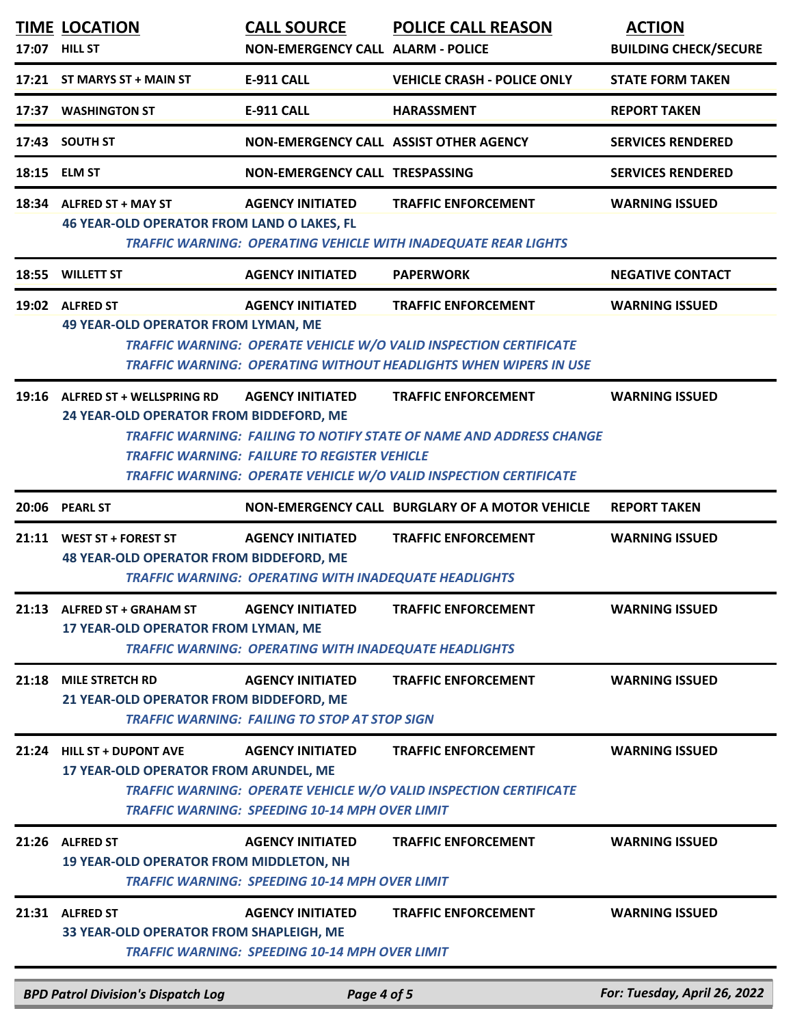|       | <b>TIME LOCATION</b><br>17:07 HILL ST                                         | <b>CALL SOURCE</b><br><b>NON-EMERGENCY CALL ALARM - POLICE</b>                          | <b>POLICE CALL REASON</b>                                                                                                                                                     | <b>ACTION</b><br><b>BUILDING CHECK/SECURE</b> |
|-------|-------------------------------------------------------------------------------|-----------------------------------------------------------------------------------------|-------------------------------------------------------------------------------------------------------------------------------------------------------------------------------|-----------------------------------------------|
|       | 17:21 ST MARYS ST + MAIN ST                                                   | <b>E-911 CALL</b>                                                                       | <b>VEHICLE CRASH - POLICE ONLY</b>                                                                                                                                            | <b>STATE FORM TAKEN</b>                       |
|       | 17:37 WASHINGTON ST                                                           | <b>E-911 CALL</b>                                                                       | <b>HARASSMENT</b>                                                                                                                                                             | <b>REPORT TAKEN</b>                           |
|       | 17:43 SOUTH ST                                                                | NON-EMERGENCY CALL ASSIST OTHER AGENCY                                                  |                                                                                                                                                                               | <b>SERVICES RENDERED</b>                      |
|       | 18:15 ELM ST                                                                  | NON-EMERGENCY CALL TRESPASSING                                                          |                                                                                                                                                                               | <b>SERVICES RENDERED</b>                      |
|       | 18:34 ALFRED ST + MAY ST<br><b>46 YEAR-OLD OPERATOR FROM LAND O LAKES, FL</b> | <b>AGENCY INITIATED</b>                                                                 | <b>TRAFFIC ENFORCEMENT</b><br><b>TRAFFIC WARNING: OPERATING VEHICLE WITH INADEQUATE REAR LIGHTS</b>                                                                           | <b>WARNING ISSUED</b>                         |
|       | 18:55 WILLETT ST                                                              | <b>AGENCY INITIATED</b>                                                                 | <b>PAPERWORK</b>                                                                                                                                                              | <b>NEGATIVE CONTACT</b>                       |
|       | 19:02 ALFRED ST<br><b>49 YEAR-OLD OPERATOR FROM LYMAN, ME</b>                 | <b>AGENCY INITIATED</b>                                                                 | <b>TRAFFIC ENFORCEMENT</b><br>TRAFFIC WARNING: OPERATE VEHICLE W/O VALID INSPECTION CERTIFICATE<br><b>TRAFFIC WARNING: OPERATING WITHOUT HEADLIGHTS WHEN WIPERS IN USE</b>    | <b>WARNING ISSUED</b>                         |
|       | 19:16 ALFRED ST + WELLSPRING RD<br>24 YEAR-OLD OPERATOR FROM BIDDEFORD, ME    | <b>AGENCY INITIATED</b><br><b>TRAFFIC WARNING: FAILURE TO REGISTER VEHICLE</b>          | <b>TRAFFIC ENFORCEMENT</b><br><b>TRAFFIC WARNING: FAILING TO NOTIFY STATE OF NAME AND ADDRESS CHANGE</b><br>TRAFFIC WARNING: OPERATE VEHICLE W/O VALID INSPECTION CERTIFICATE | <b>WARNING ISSUED</b>                         |
|       | 20:06 PEARL ST                                                                |                                                                                         | NON-EMERGENCY CALL BURGLARY OF A MOTOR VEHICLE                                                                                                                                | <b>REPORT TAKEN</b>                           |
|       | 21:11 WEST ST + FOREST ST<br><b>48 YEAR-OLD OPERATOR FROM BIDDEFORD, ME</b>   | <b>AGENCY INITIATED</b><br><b>TRAFFIC WARNING: OPERATING WITH INADEQUATE HEADLIGHTS</b> | <b>TRAFFIC ENFORCEMENT</b>                                                                                                                                                    | <b>WARNING ISSUED</b>                         |
| 21:13 | <b>ALFRED ST + GRAHAM ST</b><br>17 YEAR-OLD OPERATOR FROM LYMAN, ME           | <b>AGENCY INITIATED</b><br><b>TRAFFIC WARNING: OPERATING WITH INADEQUATE HEADLIGHTS</b> | <b>TRAFFIC ENFORCEMENT</b>                                                                                                                                                    | <b>WARNING ISSUED</b>                         |
| 21:18 | <b>MILE STRETCH RD</b><br>21 YEAR-OLD OPERATOR FROM BIDDEFORD, ME             | <b>AGENCY INITIATED</b><br><b>TRAFFIC WARNING: FAILING TO STOP AT STOP SIGN</b>         | <b>TRAFFIC ENFORCEMENT</b>                                                                                                                                                    | <b>WARNING ISSUED</b>                         |
|       | 21:24 HILL ST + DUPONT AVE<br>17 YEAR-OLD OPERATOR FROM ARUNDEL, ME           | <b>AGENCY INITIATED</b><br><b>TRAFFIC WARNING: SPEEDING 10-14 MPH OVER LIMIT</b>        | <b>TRAFFIC ENFORCEMENT</b><br>TRAFFIC WARNING: OPERATE VEHICLE W/O VALID INSPECTION CERTIFICATE                                                                               | <b>WARNING ISSUED</b>                         |
| 21:26 | <b>ALFRED ST</b><br>19 YEAR-OLD OPERATOR FROM MIDDLETON, NH                   | <b>AGENCY INITIATED</b><br><b>TRAFFIC WARNING: SPEEDING 10-14 MPH OVER LIMIT</b>        | <b>TRAFFIC ENFORCEMENT</b>                                                                                                                                                    | <b>WARNING ISSUED</b>                         |
| 21:31 | <b>ALFRED ST</b><br>33 YEAR-OLD OPERATOR FROM SHAPLEIGH, ME                   | <b>AGENCY INITIATED</b><br><b>TRAFFIC WARNING: SPEEDING 10-14 MPH OVER LIMIT</b>        | <b>TRAFFIC ENFORCEMENT</b>                                                                                                                                                    | <b>WARNING ISSUED</b>                         |
|       | <b>BPD Patrol Division's Dispatch Log</b>                                     | Page 4 of 5                                                                             |                                                                                                                                                                               | For: Tuesday, April 26, 2022                  |